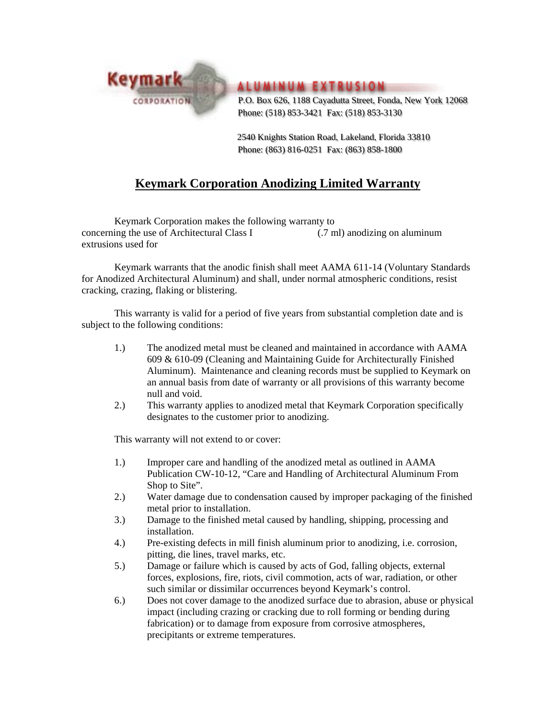

**ALUMINUM EXTRUSION** 

 P.O. Box 626, 1188 Cayadutta Street, Fonda, New York 12068 Phone: (518) 853-3421 Fax: (518) 853-3130

 2540 Knights Station Road, Lakeland, Florida 33810 Phone: (863) 816-0251 Fax: (863) 858-1800

## **Keymark Corporation Anodizing Limited Warranty**

Keymark Corporation makes the following warranty to concerning the use of Architectural Class I (.7 ml) anodizing on aluminum extrusions used for

 Keymark warrants that the anodic finish shall meet AAMA 611-14 (Voluntary Standards for Anodized Architectural Aluminum) and shall, under normal atmospheric conditions, resist cracking, crazing, flaking or blistering.

 This warranty is valid for a period of five years from substantial completion date and is subject to the following conditions:

- 1.) The anodized metal must be cleaned and maintained in accordance with AAMA 609 & 610-09 (Cleaning and Maintaining Guide for Architecturally Finished Aluminum). Maintenance and cleaning records must be supplied to Keymark on an annual basis from date of warranty or all provisions of this warranty become null and void.
- 2.) This warranty applies to anodized metal that Keymark Corporation specifically designates to the customer prior to anodizing.

This warranty will not extend to or cover:

- 1.) Improper care and handling of the anodized metal as outlined in AAMA Publication CW-10-12, "Care and Handling of Architectural Aluminum From Shop to Site".
- 2.) Water damage due to condensation caused by improper packaging of the finished metal prior to installation.
- 3.) Damage to the finished metal caused by handling, shipping, processing and installation.
- 4.) Pre-existing defects in mill finish aluminum prior to anodizing, i.e. corrosion, pitting, die lines, travel marks, etc.
- 5.) Damage or failure which is caused by acts of God, falling objects, external forces, explosions, fire, riots, civil commotion, acts of war, radiation, or other such similar or dissimilar occurrences beyond Keymark's control.
- 6.) Does not cover damage to the anodized surface due to abrasion, abuse or physical impact (including crazing or cracking due to roll forming or bending during fabrication) or to damage from exposure from corrosive atmospheres, precipitants or extreme temperatures.